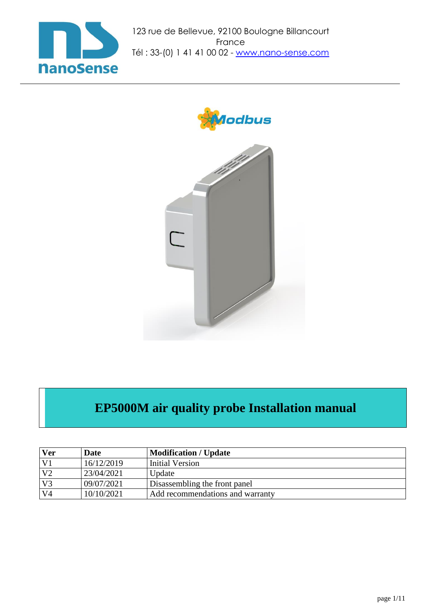



## **EP5000M air quality probe Installation manual**

| <b>Ver</b>     | <b>Date</b> | <b>Modification / Update</b>     |  |
|----------------|-------------|----------------------------------|--|
| V <sub>1</sub> | 16/12/2019  | Initial Version                  |  |
| V <sub>2</sub> | 23/04/2021  | Update                           |  |
| V <sub>3</sub> | 09/07/2021  | Disassembling the front panel    |  |
| V <sub>4</sub> | 10/10/2021  | Add recommendations and warranty |  |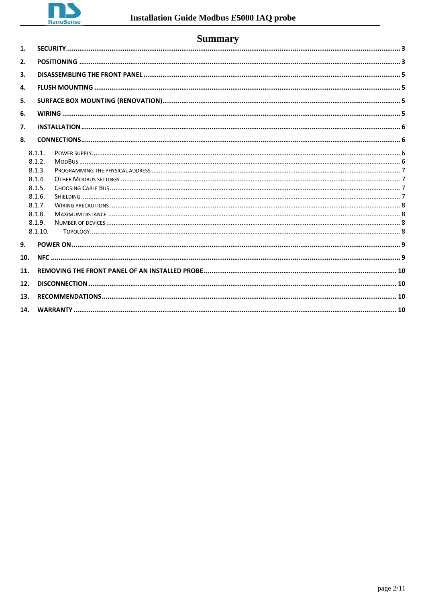

|                | <b>Summary</b> |  |  |  |  |
|----------------|----------------|--|--|--|--|
| $\mathbf{1}$ . |                |  |  |  |  |
| 2.             |                |  |  |  |  |
| 3.             |                |  |  |  |  |
| 4.             |                |  |  |  |  |
| 5.             |                |  |  |  |  |
| 6.             |                |  |  |  |  |
| 7.             |                |  |  |  |  |
| 8.             |                |  |  |  |  |
|                | 8.1.1.         |  |  |  |  |
|                | 8.1.2.         |  |  |  |  |
|                | 8.1.3.         |  |  |  |  |
|                | 8.1.4.         |  |  |  |  |
|                | 8.1.5.         |  |  |  |  |
|                | 8.1.6.         |  |  |  |  |
|                | 8.1.7.         |  |  |  |  |
|                | 8.1.8.         |  |  |  |  |
|                | 8.1.9.         |  |  |  |  |
|                | 8.1.10.        |  |  |  |  |
| 9.             |                |  |  |  |  |
| 10.            |                |  |  |  |  |
| 11.            |                |  |  |  |  |
|                | 12.            |  |  |  |  |
| 13.            |                |  |  |  |  |
| 14.            |                |  |  |  |  |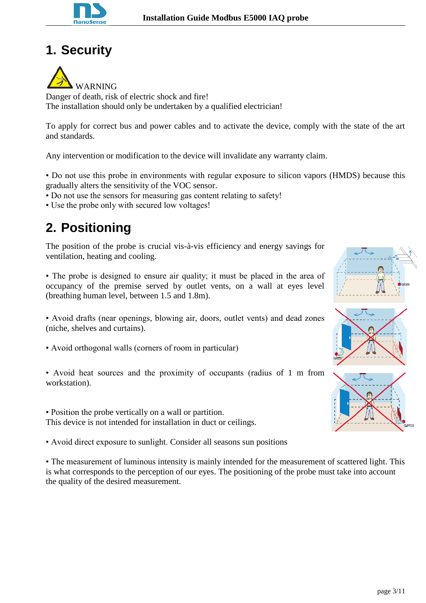### <span id="page-2-0"></span>**1. Security**



Danger of death, risk of electric shock and fire! The installation should only be undertaken by a qualified electrician!

To apply for correct bus and power cables and to activate the device, comply with the state of the art and standards.

Any intervention or modification to the device will invalidate any warranty claim.

• Do not use this probe in environments with regular exposure to silicon vapors (HMDS) because this gradually alters the sensitivity of the VOC sensor.

• Do not use the sensors for measuring gas content relating to safety!

• Use the probe only with secured low voltages!

## <span id="page-2-1"></span>**2. Positioning**

The position of the probe is crucial vis-à-vis efficiency and energy savings for ventilation, heating and cooling.

• The probe is designed to ensure air quality; it must be placed in the area of occupancy of the premise served by outlet vents, on a wall at eyes level (breathing human level, between 1.5 and 1.8m).

• Avoid drafts (near openings, blowing air, doors, outlet vents) and dead zones (niche, shelves and curtains).

• Avoid orthogonal walls (corners of room in particular)

• Avoid heat sources and the proximity of occupants (radius of 1 m from workstation).

• Position the probe vertically on a wall or partition. This device is not intended for installation in duct or ceilings.

• Avoid direct exposure to sunlight. Consider all seasons sun positions

• The measurement of luminous intensity is mainly intended for the measurement of scattered light. This is what corresponds to the perception of our eyes. The positioning of the probe must take into account the quality of the desired measurement.

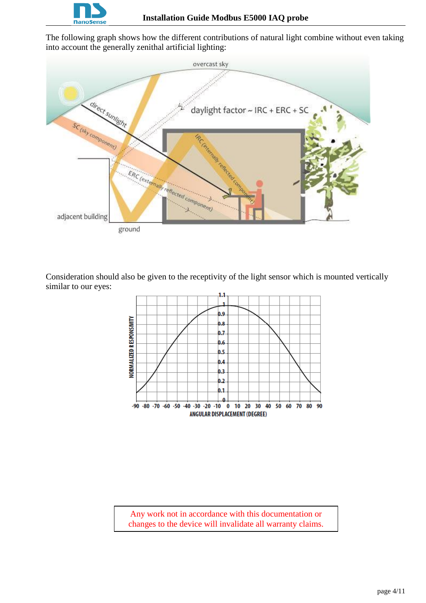

The following graph shows how the different contributions of natural light combine without even taking into account the generally zenithal artificial lighting:



Consideration should also be given to the receptivity of the light sensor which is mounted vertically similar to our eyes:



Any work not in accordance with this documentation or changes to the device will invalidate all warranty claims.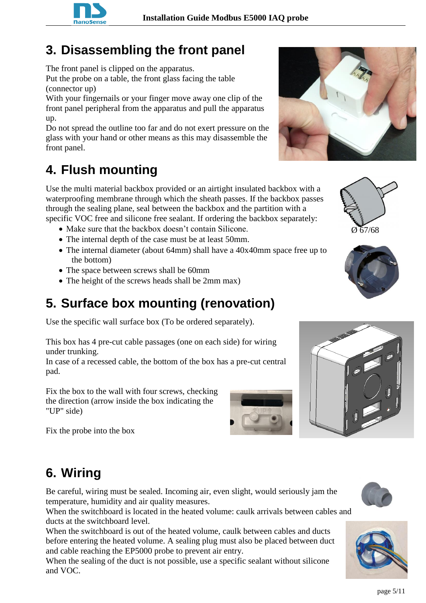

## <span id="page-4-0"></span>**3. Disassembling the front panel**

The front panel is clipped on the apparatus.

Put the probe on a table, the front glass facing the table (connector up)

With your fingernails or your finger move away one clip of the front panel peripheral from the apparatus and pull the apparatus up.

Do not spread the outline too far and do not exert pressure on the glass with your hand or other means as this may disassemble the front panel.

## <span id="page-4-1"></span>**4. Flush mounting**

Use the multi material backbox provided or an airtight insulated backbox with a waterproofing membrane through which the sheath passes. If the backbox passes through the sealing plane, seal between the backbox and the partition with a specific VOC free and silicone free sealant. If ordering the backbox separately:

- Make sure that the backbox doesn't contain Silicone.
- The internal depth of the case must be at least 50mm.
- The internal diameter (about 64mm) shall have a  $40x40$ mm space free up to the bottom)
- The space between screws shall be 60mm
- The height of the screws heads shall be 2mm max)

# <span id="page-4-2"></span>**5. Surface box mounting (renovation)**

Use the specific wall surface box (To be ordered separately).

This box has 4 pre-cut cable passages (one on each side) for wiring under trunking.

In case of a recessed cable, the bottom of the box has a pre-cut central pad.

Fix the box to the wall with four screws, checking the direction (arrow inside the box indicating the "UP" side)

Fix the probe into the box

# <span id="page-4-3"></span>**6. Wiring**

Be careful, wiring must be sealed. Incoming air, even slight, would seriously jam the temperature, humidity and air quality measures.

When the switchboard is located in the heated volume: caulk arrivals between cables and ducts at the switchboard level.

When the switchboard is out of the heated volume, caulk between cables and ducts before entering the heated volume. A sealing plug must also be placed between duct and cable reaching the EP5000 probe to prevent air entry.

When the sealing of the duct is not possible, use a specific sealant without silicone and VOC.











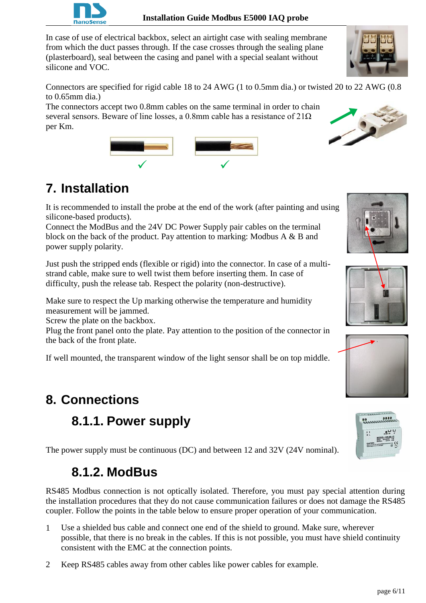

In case of use of electrical backbox, select an airtight case with sealing membrane from which the duct passes through. If the case crosses through the sealing plane (plasterboard), seal between the casing and panel with a special sealant without silicone and VOC.



The connectors accept two 0.8mm cables on the same terminal in order to chain several sensors. Beware of line losses, a 0.8mm cable has a resistance of  $21\Omega$ per Km.



# <span id="page-5-0"></span>**7. Installation**

It is recommended to install the probe at the end of the work (after painting and using silicone-based products).

Connect the ModBus and the 24V DC Power Supply pair cables on the terminal block on the back of the product. Pay attention to marking: Modbus A & B and power supply polarity.

Just push the stripped ends (flexible or rigid) into the connector. In case of a multistrand cable, make sure to well twist them before inserting them. In case of difficulty, push the release tab. Respect the polarity (non-destructive).

Make sure to respect the Up marking otherwise the temperature and humidity measurement will be jammed.

Screw the plate on the backbox.

Plug the front panel onto the plate. Pay attention to the position of the connector in the back of the front plate.

If well mounted, the transparent window of the light sensor shall be on top middle.

# <span id="page-5-2"></span><span id="page-5-1"></span>**8. Connections**

#### **8.1.1. Power supply**

The power supply must be continuous (DC) and between 12 and 32V (24V nominal).

### **8.1.2. ModBus**

<span id="page-5-3"></span>RS485 Modbus connection is not optically isolated. Therefore, you must pay special attention during the installation procedures that they do not cause communication failures or does not damage the RS485 coupler. Follow the points in the table below to ensure proper operation of your communication.

- 1 Use a shielded bus cable and connect one end of the shield to ground. Make sure, wherever possible, that there is no break in the cables. If this is not possible, you must have shield continuity consistent with the EMC at the connection points.
- 2 Keep RS485 cables away from other cables like power cables for example.









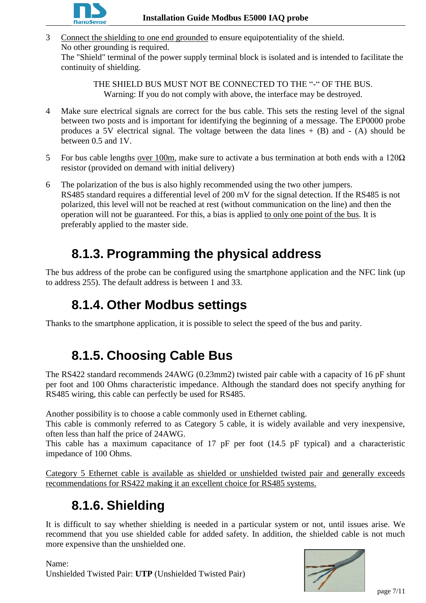

3 Connect the shielding to one end grounded to ensure equipotentiality of the shield. No other grounding is required. The "Shield" terminal of the power supply terminal block is isolated and is intended to facilitate the continuity of shielding.

> THE SHIELD BUS MUST NOT BE CONNECTED TO THE "-" OF THE BUS. Warning: If you do not comply with above, the interface may be destroyed.

- 4 Make sure electrical signals are correct for the bus cable. This sets the resting level of the signal between two posts and is important for identifying the beginning of a message. The EP0000 probe produces a 5V electrical signal. The voltage between the data lines  $+$  (B) and  $-$  (A) should be between 0.5 and 1V.
- 5 For bus cable lengths over 100m, make sure to activate a bus termination at both ends with a  $120\Omega$ resistor (provided on demand with initial delivery)
- 6 The polarization of the bus is also highly recommended using the two other jumpers. RS485 standard requires a differential level of 200 mV for the signal detection. If the RS485 is not polarized, this level will not be reached at rest (without communication on the line) and then the operation will not be guaranteed. For this, a bias is applied to only one point of the bus. It is preferably applied to the master side.

## **8.1.3. Programming the physical address**

<span id="page-6-0"></span>The bus address of the probe can be configured using the smartphone application and the NFC link (up to address 255). The default address is between 1 and 33.

### **8.1.4. Other Modbus settings**

<span id="page-6-1"></span>Thanks to the smartphone application, it is possible to select the speed of the bus and parity.

# **8.1.5. Choosing Cable Bus**

<span id="page-6-2"></span>The RS422 standard recommends 24AWG (0.23mm2) twisted pair cable with a capacity of 16 pF shunt per foot and 100 Ohms characteristic impedance. Although the standard does not specify anything for RS485 wiring, this cable can perfectly be used for RS485.

Another possibility is to choose a cable commonly used in Ethernet cabling.

This cable is commonly referred to as Category 5 cable, it is widely available and very inexpensive, often less than half the price of 24AWG.

This cable has a maximum capacitance of 17 pF per foot (14.5 pF typical) and a characteristic impedance of 100 Ohms.

Category 5 Ethernet cable is available as shielded or unshielded twisted pair and generally exceeds recommendations for RS422 making it an excellent choice for RS485 systems.

## **8.1.6. Shielding**

<span id="page-6-3"></span>It is difficult to say whether shielding is needed in a particular system or not, until issues arise. We recommend that you use shielded cable for added safety. In addition, the shielded cable is not much more expensive than the unshielded one.

Name: Unshielded Twisted Pair: **UTP** (Unshielded Twisted Pair)

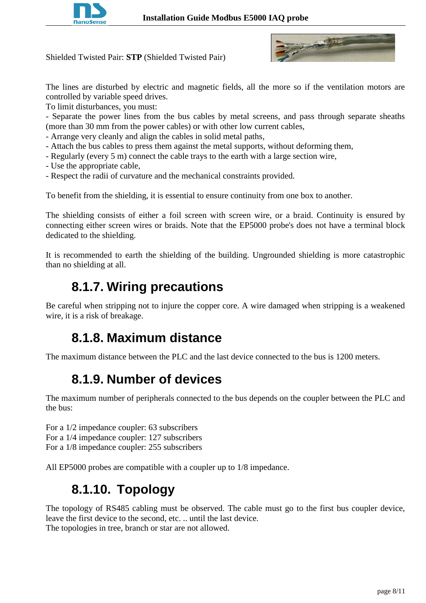

Shielded Twisted Pair: **STP** (Shielded Twisted Pair)



The lines are disturbed by electric and magnetic fields, all the more so if the ventilation motors are controlled by variable speed drives.

To limit disturbances, you must:

- Separate the power lines from the bus cables by metal screens, and pass through separate sheaths (more than 30 mm from the power cables) or with other low current cables,

- Arrange very cleanly and align the cables in solid metal paths,

- Attach the bus cables to press them against the metal supports, without deforming them,

- Regularly (every 5 m) connect the cable trays to the earth with a large section wire,
- Use the appropriate cable,
- Respect the radii of curvature and the mechanical constraints provided.

To benefit from the shielding, it is essential to ensure continuity from one box to another.

The shielding consists of either a foil screen with screen wire, or a braid. Continuity is ensured by connecting either screen wires or braids. Note that the EP5000 probe's does not have a terminal block dedicated to the shielding.

It is recommended to earth the shielding of the building. Ungrounded shielding is more catastrophic than no shielding at all.

#### **8.1.7. Wiring precautions**

<span id="page-7-0"></span>Be careful when stripping not to injure the copper core. A wire damaged when stripping is a weakened wire, it is a risk of breakage.

#### **8.1.8. Maximum distance**

<span id="page-7-2"></span><span id="page-7-1"></span>The maximum distance between the PLC and the last device connected to the bus is 1200 meters.

#### **8.1.9. Number of devices**

The maximum number of peripherals connected to the bus depends on the coupler between the PLC and the bus:

For a 1/2 impedance coupler: 63 subscribers For a 1/4 impedance coupler: 127 subscribers For a 1/8 impedance coupler: 255 subscribers

<span id="page-7-3"></span>All EP5000 probes are compatible with a coupler up to 1/8 impedance.

#### **8.1.10. Topology**

The topology of RS485 cabling must be observed. The cable must go to the first bus coupler device, leave the first device to the second, etc. .. until the last device.

The topologies in tree, branch or star are not allowed.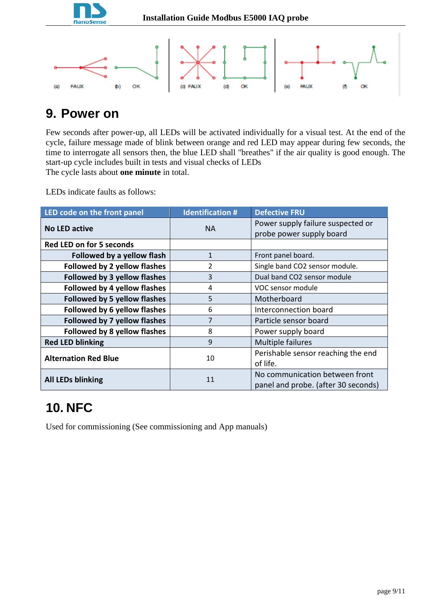



### <span id="page-8-0"></span>**9. Power on**

Few seconds after power-up, all LEDs will be activated individually for a visual test. At the end of the cycle, failure message made of blink between orange and red LED may appear during few seconds, the time to interrogate all sensors then, the blue LED shall "breathes" if the air quality is good enough. The start-up cycle includes built in tests and visual checks of LEDs The cycle lasts about **one minute** in total.

LEDs indicate faults as follows:

| LED code on the front panel         | <b>Identification #</b> | <b>Defective FRU</b>                                                  |
|-------------------------------------|-------------------------|-----------------------------------------------------------------------|
| <b>No LED active</b>                | <b>NA</b>               | Power supply failure suspected or<br>probe power supply board         |
| <b>Red LED on for 5 seconds</b>     |                         |                                                                       |
| Followed by a yellow flash          | $\mathbf{1}$            | Front panel board.                                                    |
| Followed by 2 yellow flashes        | $\overline{2}$          | Single band CO2 sensor module.                                        |
| <b>Followed by 3 yellow flashes</b> | 3                       | Dual band CO2 sensor module                                           |
| Followed by 4 yellow flashes        | 4                       | VOC sensor module                                                     |
| Followed by 5 yellow flashes        | 5                       | Motherboard                                                           |
| Followed by 6 yellow flashes        | 6                       | Interconnection board                                                 |
| Followed by 7 yellow flashes        | $\overline{7}$          | Particle sensor board                                                 |
| Followed by 8 yellow flashes        | 8                       | Power supply board                                                    |
| <b>Red LED blinking</b>             | 9                       | Multiple failures                                                     |
| <b>Alternation Red Blue</b>         | 10                      | Perishable sensor reaching the end<br>of life.                        |
| <b>All LEDs blinking</b>            | 11                      | No communication between front<br>panel and probe. (after 30 seconds) |

### <span id="page-8-1"></span>**10. NFC**

Used for commissioning (See commissioning and App manuals)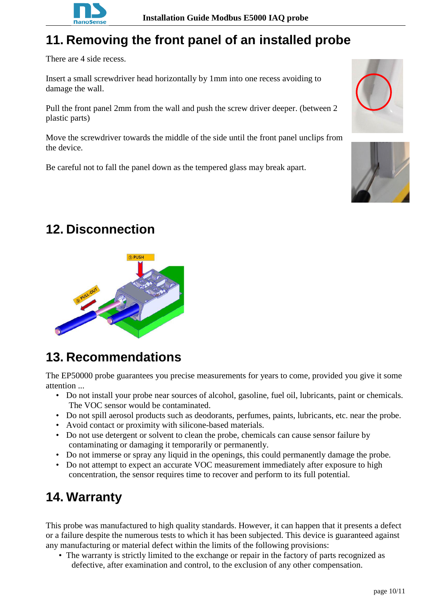

## <span id="page-9-0"></span>**11. Removing the front panel of an installed probe**

There are 4 side recess.

Insert a small screwdriver head horizontally by 1mm into one recess avoiding to damage the wall.

Pull the front panel 2mm from the wall and push the screw driver deeper. (between 2 plastic parts)

Move the screwdriver towards the middle of the side until the front panel unclips from the device.

Be careful not to fall the panel down as the tempered glass may break apart.





### <span id="page-9-1"></span>**12. Disconnection**



### <span id="page-9-2"></span>**13. Recommendations**

The EP50000 probe guarantees you precise measurements for years to come, provided you give it some attention ...

- Do not install your probe near sources of alcohol, gasoline, fuel oil, lubricants, paint or chemicals. The VOC sensor would be contaminated.
- Do not spill aerosol products such as deodorants, perfumes, paints, lubricants, etc. near the probe.
- Avoid contact or proximity with silicone-based materials.
- Do not use detergent or solvent to clean the probe, chemicals can cause sensor failure by contaminating or damaging it temporarily or permanently.
- Do not immerse or spray any liquid in the openings, this could permanently damage the probe.
- Do not attempt to expect an accurate VOC measurement immediately after exposure to high concentration, the sensor requires time to recover and perform to its full potential.

## <span id="page-9-3"></span>**14. Warranty**

This probe was manufactured to high quality standards. However, it can happen that it presents a defect or a failure despite the numerous tests to which it has been subjected. This device is guaranteed against any manufacturing or material defect within the limits of the following provisions:

• The warranty is strictly limited to the exchange or repair in the factory of parts recognized as defective, after examination and control, to the exclusion of any other compensation.